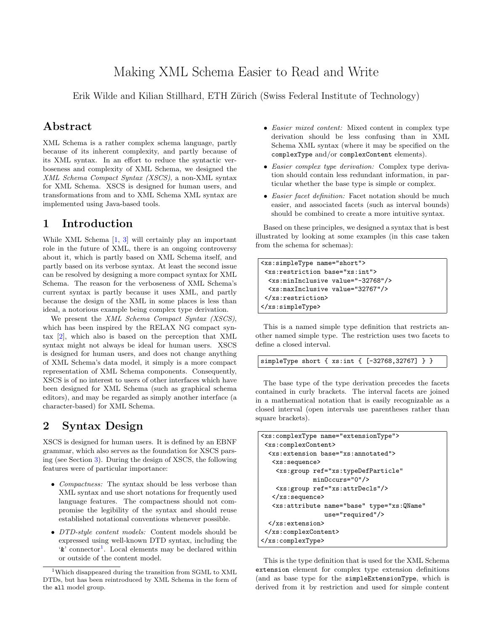# Making XML Schema Easier to Read and Write

Erik Wilde and Kilian Stillhard, ETH Zürich (Swiss Federal Institute of Technology)

#### Abstract

XML Schema is a rather complex schema language, partly because of its inherent complexity, and partly because of its XML syntax. In an effort to reduce the syntactic verboseness and complexity of XML Schema, we designed the XML Schema Compact Syntax (XSCS), a non-XML syntax for XML Schema. XSCS is designed for human users, and transformations from and to XML Schema XML syntax are implemented using Java-based tools.

#### 1 Introduction

While XML Schema [\[1,](#page-1-0) [3\]](#page-1-0) will certainly play an important role in the future of XML, there is an ongoing controversy about it, which is partly based on XML Schema itself, and partly based on its verbose syntax. At least the second issue can be resolved by designing a more compact syntax for XML Schema. The reason for the verboseness of XML Schema's current syntax is partly because it uses XML, and partly because the design of the XML in some places is less than ideal, a notorious example being complex type derivation.

We present the XML Schema Compact Syntax (XSCS), which has been inspired by the RELAX NG compact syntax [\[2\]](#page-1-0), which also is based on the perception that XML syntax might not always be ideal for human users. XSCS is designed for human users, and does not change anything of XML Schema's data model, it simply is a more compact representation of XML Schema components. Consequently, XSCS is of no interest to users of other interfaces which have been designed for XML Schema (such as graphical schema editors), and may be regarded as simply another interface (a character-based) for XML Schema.

### 2 Syntax Design

XSCS is designed for human users. It is defined by an EBNF grammar, which also serves as the foundation for XSCS parsing (see Section [3\)](#page-1-0). During the design of XSCS, the following features were of particular importance:

- *Compactness:* The syntax should be less verbose than XML syntax and use short notations for frequently used language features. The compactness should not compromise the legibility of the syntax and should reuse established notational conventions whenever possible.
- DTD-style content models: Content models should be expressed using well-known DTD syntax, including the  $\mathbf{\hat{x}}'$  connector<sup>1</sup>. Local elements may be declared within or outside of the content model.
- Easier mixed content: Mixed content in complex type derivation should be less confusing than in XML Schema XML syntax (where it may be specified on the complexType and/or complexContent elements).
- Easier complex type derivation: Complex type derivation should contain less redundant information, in particular whether the base type is simple or complex.
- Easier facet definition: Facet notation should be much easier, and associated facets (such as interval bounds) should be combined to create a more intuitive syntax.

Based on these principles, we designed a syntax that is best illustrated by looking at some examples (in this case taken from the schema for schemas):

```
<xs:simpleType name="short">
<xs:restriction base="xs:int">
  <xs:minInclusive value="-32768"/>
  <xs:maxInclusive value="32767"/>
</xs:restriction>
</xs:simpleType>
```
This is a named simple type definition that restricts another named simple type. The restriction uses two facets to define a closed interval.

simpleType short { xs:int { [-32768,32767] } }

The base type of the type derivation precedes the facets contained in curly brackets. The interval facets are joined in a mathematical notation that is easily recognizable as a closed interval (open intervals use parentheses rather than square brackets).

```
<xs:complexType name="extensionType">
 <xs:complexContent>
  <xs:extension base="xs:annotated">
   <xs:sequence>
    <xs:group ref="xs:typeDefParticle"
              minOccurs="0"/>
    <xs:group ref="xs:attrDecls"/>
   </xs:sequence>
   <xs:attribute name="base" type="xs:QName"
                 use="required"/>
  </xs:extension>
 </xs:complexContent>
</xs:complexType>
```
This is the type definition that is used for the XML Schema extension element for complex type extension definitions (and as base type for the simpleExtensionType, which is derived from it by restriction and used for simple content

<sup>1</sup>Which disappeared during the transition from SGML to XML DTDs, but has been reintroduced by XML Schema in the form of the all model group.